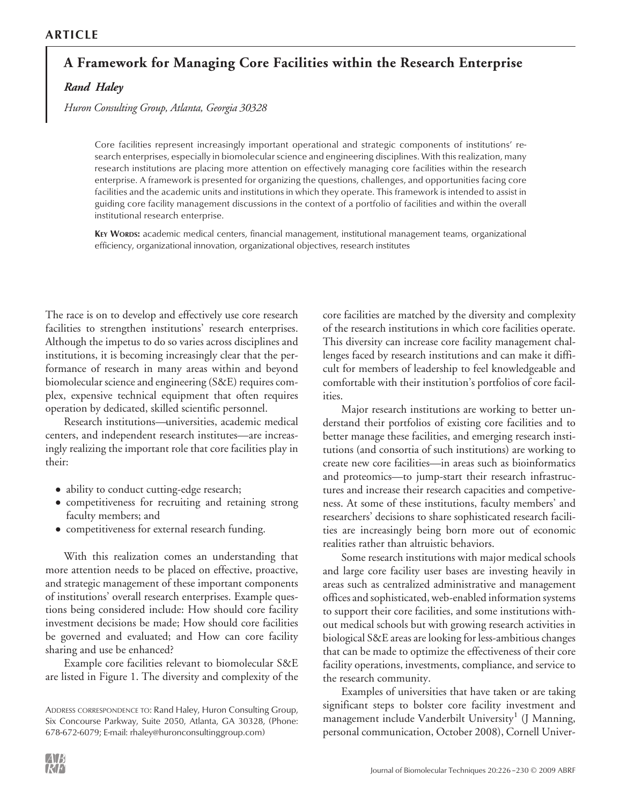# **A Framework for Managing Core Facilities within the Research Enterprise**

*Rand Haley*

*Huron Consulting Group, Atlanta, Georgia 30328*

Core facilities represent increasingly important operational and strategic components of institutions' research enterprises, especially in biomolecular science and engineering disciplines. With this realization, many research institutions are placing more attention on effectively managing core facilities within the research enterprise. A framework is presented for organizing the questions, challenges, and opportunities facing core facilities and the academic units and institutions in which they operate. This framework is intended to assist in guiding core facility management discussions in the context of a portfolio of facilities and within the overall institutional research enterprise.

KEY WORDS: academic medical centers, financial management, institutional management teams, organizational efficiency, organizational innovation, organizational objectives, research institutes

The race is on to develop and effectively use core research facilities to strengthen institutions' research enterprises. Although the impetus to do so varies across disciplines and institutions, it is becoming increasingly clear that the performance of research in many areas within and beyond biomolecular science and engineering (S&E) requires complex, expensive technical equipment that often requires operation by dedicated, skilled scientific personnel.

Research institutions—universities, academic medical centers, and independent research institutes—are increasingly realizing the important role that core facilities play in their:

- ability to conduct cutting-edge research;
- competitiveness for recruiting and retaining strong faculty members; and
- competitiveness for external research funding.

With this realization comes an understanding that more attention needs to be placed on effective, proactive, and strategic management of these important components of institutions' overall research enterprises. Example questions being considered include: How should core facility investment decisions be made; How should core facilities be governed and evaluated; and How can core facility sharing and use be enhanced?

Example core facilities relevant to biomolecular S&E are listed in Figure 1. The diversity and complexity of the core facilities are matched by the diversity and complexity of the research institutions in which core facilities operate. This diversity can increase core facility management challenges faced by research institutions and can make it difficult for members of leadership to feel knowledgeable and comfortable with their institution's portfolios of core facilities.

Major research institutions are working to better understand their portfolios of existing core facilities and to better manage these facilities, and emerging research institutions (and consortia of such institutions) are working to create new core facilities—in areas such as bioinformatics and proteomics—to jump-start their research infrastructures and increase their research capacities and competiveness. At some of these institutions, faculty members' and researchers' decisions to share sophisticated research facilities are increasingly being born more out of economic realities rather than altruistic behaviors.

Some research institutions with major medical schools and large core facility user bases are investing heavily in areas such as centralized administrative and management offices and sophisticated, web-enabled information systems to support their core facilities, and some institutions without medical schools but with growing research activities in biological S&E areas are looking for less-ambitious changes that can be made to optimize the effectiveness of their core facility operations, investments, compliance, and service to the research community.

Examples of universities that have taken or are taking significant steps to bolster core facility investment and management include Vanderbilt University<sup>1</sup> (J Manning, personal communication, October 2008), Cornell Univer-

ADDRESS CORRESPONDENCE TO: Rand Haley, Huron Consulting Group, Six Concourse Parkway, Suite 2050, Atlanta, GA 30328, (Phone: 678-672-6079; E-mail: rhaley@huronconsultinggroup.com)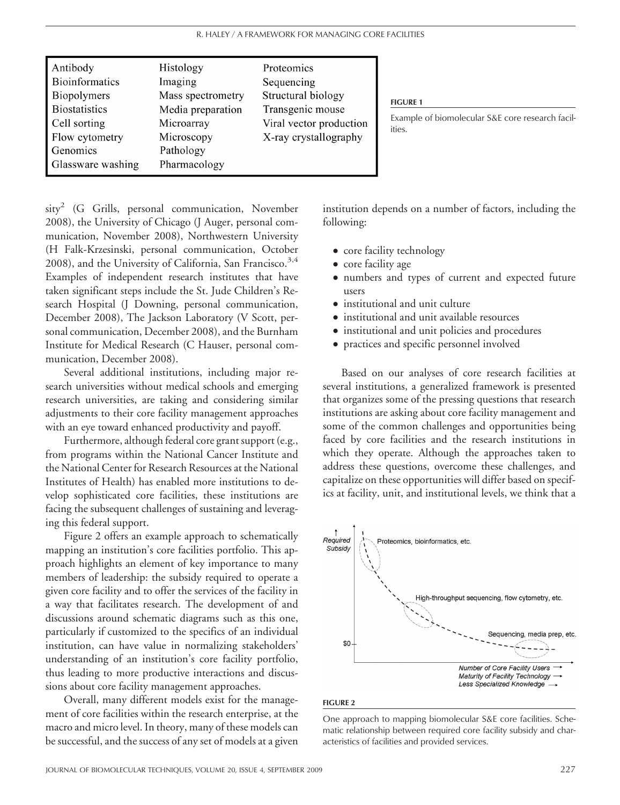| Antibody<br><b>Bioinformatics</b><br><b>Biopolymers</b><br><b>Biostatistics</b><br>Cell sorting<br>Flow cytometry<br>Genomics<br>Glassware washing |
|----------------------------------------------------------------------------------------------------------------------------------------------------|
|----------------------------------------------------------------------------------------------------------------------------------------------------|

 $sity<sup>2</sup>$  (G Grills, personal communication, November 2008), the University of Chicago (J Auger, personal communication, November 2008), Northwestern University (H Falk-Krzesinski, personal communication, October 2008), and the University of California, San Francisco. $3.4$ Examples of independent research institutes that have taken significant steps include the St. Jude Children's Research Hospital (J Downing, personal communication, December 2008), The Jackson Laboratory (V Scott, personal communication, December 2008), and the Burnham Institute for Medical Research (C Hauser, personal communication, December 2008).

Several additional institutions, including major research universities without medical schools and emerging research universities, are taking and considering similar adjustments to their core facility management approaches with an eye toward enhanced productivity and payoff.

Furthermore, although federal core grant support (e.g., from programs within the National Cancer Institute and the National Center for Research Resources at the National Institutes of Health) has enabled more institutions to develop sophisticated core facilities, these institutions are facing the subsequent challenges of sustaining and leveraging this federal support.

Figure 2 offers an example approach to schematically mapping an institution's core facilities portfolio. This approach highlights an element of key importance to many members of leadership: the subsidy required to operate a given core facility and to offer the services of the facility in a way that facilitates research. The development of and discussions around schematic diagrams such as this one, particularly if customized to the specifics of an individual institution, can have value in normalizing stakeholders' understanding of an institution's core facility portfolio, thus leading to more productive interactions and discussions about core facility management approaches.

Overall, many different models exist for the management of core facilities within the research enterprise, at the macro and micro level. In theory, many of these models can be successful, and the success of any set of models at a given institution depends on a number of factors, including the following:

- core facility technology
- core facility age
- numbers and types of current and expected future users
- institutional and unit culture
- institutional and unit available resources
- institutional and unit policies and procedures
- practices and specific personnel involved

Based on our analyses of core research facilities at several institutions, a generalized framework is presented that organizes some of the pressing questions that research institutions are asking about core facility management and some of the common challenges and opportunities being faced by core facilities and the research institutions in which they operate. Although the approaches taken to address these questions, overcome these challenges, and capitalize on these opportunities will differ based on specifics at facility, unit, and institutional levels, we think that a



#### FIGURE 2

One approach to mapping biomolecular S&E core facilities. Schematic relationship between required core facility subsidy and characteristics of facilities and provided services.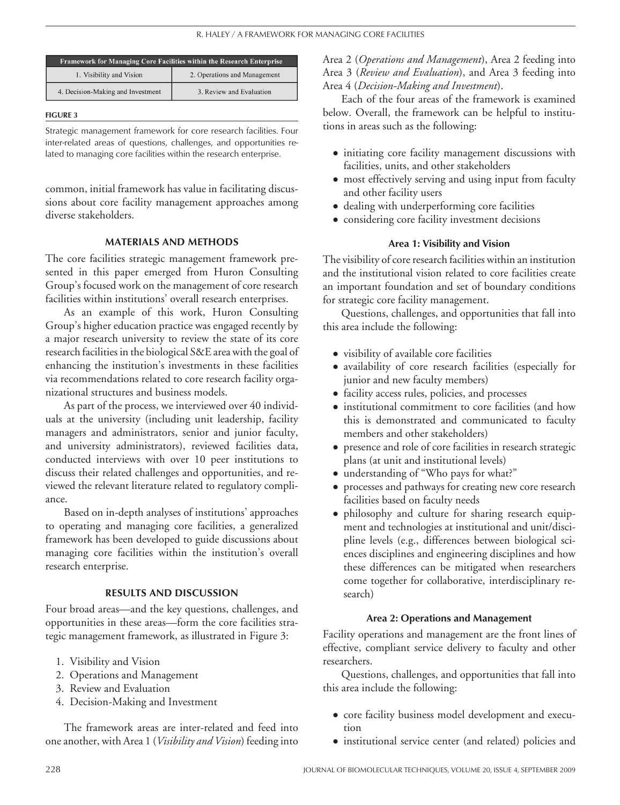| <b>Framework for Managing Core Facilities within the Research Enterprise</b> |                              |  |
|------------------------------------------------------------------------------|------------------------------|--|
| 1. Visibility and Vision                                                     | 2. Operations and Management |  |
| 4. Decision-Making and Investment                                            | 3. Review and Evaluation     |  |

#### FIGURE 3

Strategic management framework for core research facilities. Four inter-related areas of questions, challenges, and opportunities related to managing core facilities within the research enterprise.

common, initial framework has value in facilitating discussions about core facility management approaches among diverse stakeholders.

#### MATERIALS AND METHODS

The core facilities strategic management framework presented in this paper emerged from Huron Consulting Group's focused work on the management of core research facilities within institutions' overall research enterprises.

As an example of this work, Huron Consulting Group's higher education practice was engaged recently by a major research university to review the state of its core research facilities in the biological S&E area with the goal of enhancing the institution's investments in these facilities via recommendations related to core research facility organizational structures and business models.

As part of the process, we interviewed over 40 individuals at the university (including unit leadership, facility managers and administrators, senior and junior faculty, and university administrators), reviewed facilities data, conducted interviews with over 10 peer institutions to discuss their related challenges and opportunities, and reviewed the relevant literature related to regulatory compliance.

Based on in-depth analyses of institutions' approaches to operating and managing core facilities, a generalized framework has been developed to guide discussions about managing core facilities within the institution's overall research enterprise.

## RESULTS AND DISCUSSION

Four broad areas—and the key questions, challenges, and opportunities in these areas—form the core facilities strategic management framework, as illustrated in Figure 3:

- 1. Visibility and Vision
- 2. Operations and Management
- 3. Review and Evaluation
- 4. Decision-Making and Investment

The framework areas are inter-related and feed into one another, with Area 1 (*Visibility and Vision*) feeding into Area 2 (*Operations and Management*), Area 2 feeding into Area 3 (*Review and Evaluation*), and Area 3 feeding into Area 4 (*Decision-Making and Investment*).

Each of the four areas of the framework is examined below. Overall, the framework can be helpful to institutions in areas such as the following:

- initiating core facility management discussions with facilities, units, and other stakeholders
- most effectively serving and using input from faculty and other facility users
- dealing with underperforming core facilities
- considering core facility investment decisions

## Area 1: Visibility and Vision

The visibility of core research facilities within an institution and the institutional vision related to core facilities create an important foundation and set of boundary conditions for strategic core facility management.

Questions, challenges, and opportunities that fall into this area include the following:

- visibility of available core facilities
- availability of core research facilities (especially for junior and new faculty members)
- facility access rules, policies, and processes
- institutional commitment to core facilities (and how this is demonstrated and communicated to faculty members and other stakeholders)
- presence and role of core facilities in research strategic plans (at unit and institutional levels)
- understanding of "Who pays for what?"
- processes and pathways for creating new core research facilities based on faculty needs
- philosophy and culture for sharing research equipment and technologies at institutional and unit/discipline levels (e.g., differences between biological sciences disciplines and engineering disciplines and how these differences can be mitigated when researchers come together for collaborative, interdisciplinary research)

## Area 2: Operations and Management

Facility operations and management are the front lines of effective, compliant service delivery to faculty and other researchers.

Questions, challenges, and opportunities that fall into this area include the following:

- core facility business model development and execution
- institutional service center (and related) policies and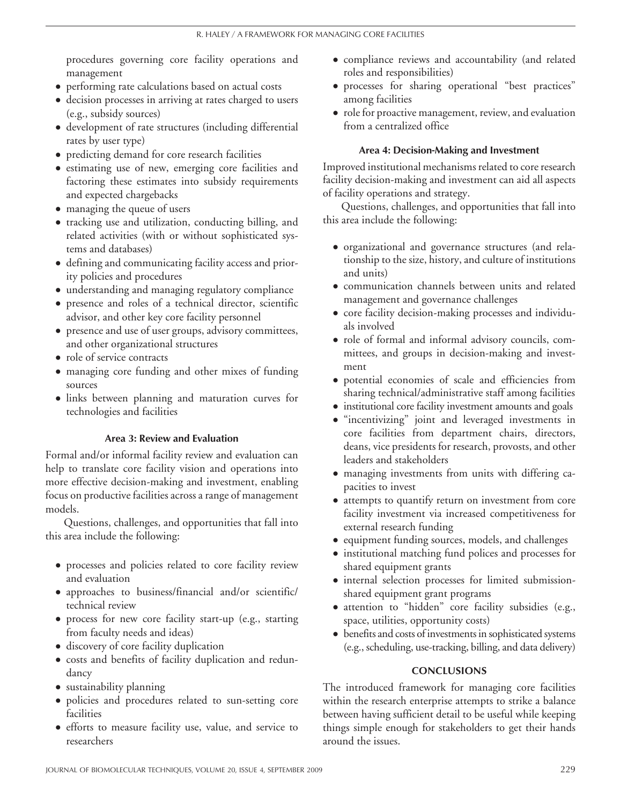procedures governing core facility operations and management

- performing rate calculations based on actual costs
- decision processes in arriving at rates charged to users (e.g., subsidy sources)
- development of rate structures (including differential rates by user type)
- predicting demand for core research facilities
- estimating use of new, emerging core facilities and factoring these estimates into subsidy requirements and expected chargebacks
- managing the queue of users
- tracking use and utilization, conducting billing, and related activities (with or without sophisticated systems and databases)
- defining and communicating facility access and priority policies and procedures
- understanding and managing regulatory compliance
- presence and roles of a technical director, scientific advisor, and other key core facility personnel
- presence and use of user groups, advisory committees, and other organizational structures
- role of service contracts
- managing core funding and other mixes of funding sources
- links between planning and maturation curves for technologies and facilities

## Area 3: Review and Evaluation

Formal and/or informal facility review and evaluation can help to translate core facility vision and operations into more effective decision-making and investment, enabling focus on productive facilities across a range of management models.

Questions, challenges, and opportunities that fall into this area include the following:

- processes and policies related to core facility review and evaluation
- approaches to business/financial and/or scientific/ technical review
- process for new core facility start-up (e.g., starting from faculty needs and ideas)
- discovery of core facility duplication
- costs and benefits of facility duplication and redundancy
- sustainability planning
- policies and procedures related to sun-setting core facilities
- efforts to measure facility use, value, and service to researchers
- compliance reviews and accountability (and related roles and responsibilities)
- processes for sharing operational "best practices" among facilities
- role for proactive management, review, and evaluation from a centralized office

# Area 4: Decision-Making and Investment

Improved institutional mechanisms related to core research facility decision-making and investment can aid all aspects of facility operations and strategy.

Questions, challenges, and opportunities that fall into this area include the following:

- organizational and governance structures (and relationship to the size, history, and culture of institutions and units)
- communication channels between units and related management and governance challenges
- core facility decision-making processes and individuals involved
- role of formal and informal advisory councils, committees, and groups in decision-making and investment
- potential economies of scale and efficiencies from sharing technical/administrative staff among facilities
- institutional core facility investment amounts and goals
- "incentivizing" joint and leveraged investments in core facilities from department chairs, directors, deans, vice presidents for research, provosts, and other leaders and stakeholders
- managing investments from units with differing capacities to invest
- attempts to quantify return on investment from core facility investment via increased competitiveness for external research funding
- equipment funding sources, models, and challenges
- institutional matching fund polices and processes for shared equipment grants
- internal selection processes for limited submissionshared equipment grant programs
- attention to "hidden" core facility subsidies (e.g., space, utilities, opportunity costs)
- benefits and costs of investments in sophisticated systems (e.g., scheduling, use-tracking, billing, and data delivery)

## **CONCLUSIONS**

The introduced framework for managing core facilities within the research enterprise attempts to strike a balance between having sufficient detail to be useful while keeping things simple enough for stakeholders to get their hands around the issues.